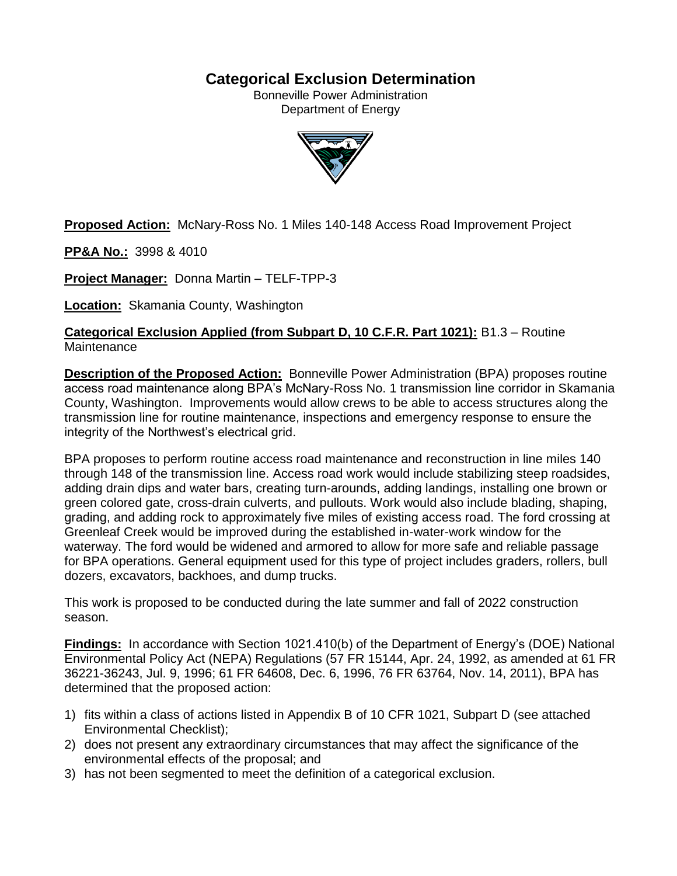# **Categorical Exclusion Determination**

Bonneville Power Administration Department of Energy



**Proposed Action:** McNary-Ross No. 1 Miles 140-148 Access Road Improvement Project

**PP&A No.:** 3998 & 4010

**Project Manager:** Donna Martin – TELF-TPP-3

**Location:** Skamania County, Washington

**Categorical Exclusion Applied (from Subpart D, 10 C.F.R. Part 1021):** B1.3 – Routine **Maintenance** 

**Description of the Proposed Action:** Bonneville Power Administration (BPA) proposes routine access road maintenance along BPA's McNary-Ross No. 1 transmission line corridor in Skamania County, Washington. Improvements would allow crews to be able to access structures along the transmission line for routine maintenance, inspections and emergency response to ensure the integrity of the Northwest's electrical grid.

BPA proposes to perform routine access road maintenance and reconstruction in line miles 140 through 148 of the transmission line. Access road work would include stabilizing steep roadsides, adding drain dips and water bars, creating turn-arounds, adding landings, installing one brown or green colored gate, cross-drain culverts, and pullouts. Work would also include blading, shaping, grading, and adding rock to approximately five miles of existing access road. The ford crossing at Greenleaf Creek would be improved during the established in-water-work window for the waterway. The ford would be widened and armored to allow for more safe and reliable passage for BPA operations. General equipment used for this type of project includes graders, rollers, bull dozers, excavators, backhoes, and dump trucks.

This work is proposed to be conducted during the late summer and fall of 2022 construction season.

**Findings:** In accordance with Section 1021.410(b) of the Department of Energy's (DOE) National Environmental Policy Act (NEPA) Regulations (57 FR 15144, Apr. 24, 1992, as amended at 61 FR 36221-36243, Jul. 9, 1996; 61 FR 64608, Dec. 6, 1996, 76 FR 63764, Nov. 14, 2011), BPA has determined that the proposed action:

- 1) fits within a class of actions listed in Appendix B of 10 CFR 1021, Subpart D (see attached Environmental Checklist);
- 2) does not present any extraordinary circumstances that may affect the significance of the environmental effects of the proposal; and
- 3) has not been segmented to meet the definition of a categorical exclusion.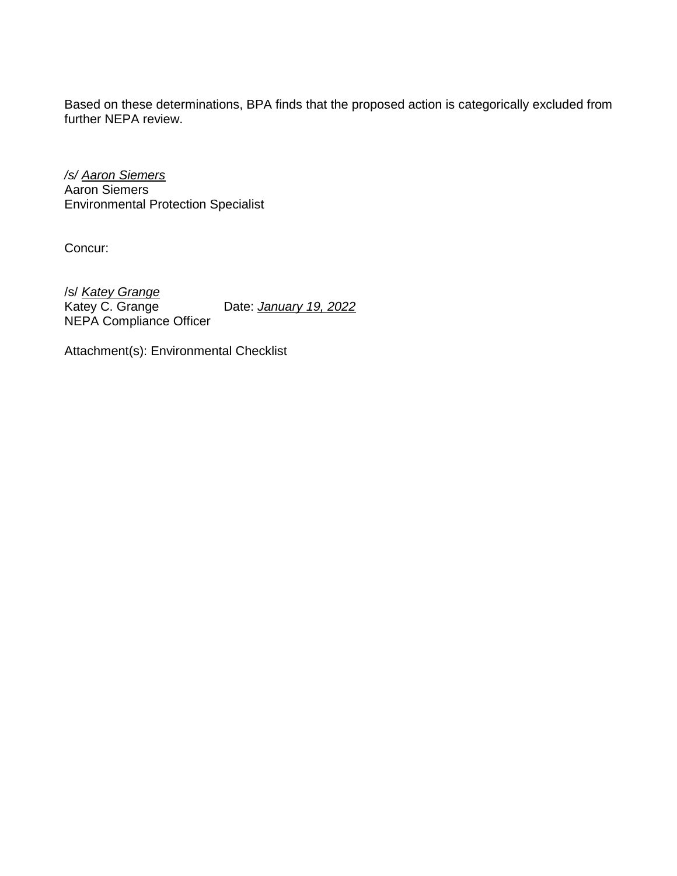Based on these determinations, BPA finds that the proposed action is categorically excluded from further NEPA review.

*/s/ Aaron Siemers* Aaron Siemers Environmental Protection Specialist

Concur:

/s/ *Katey Grange* Date: **January 19, 2022** NEPA Compliance Officer

Attachment(s): Environmental Checklist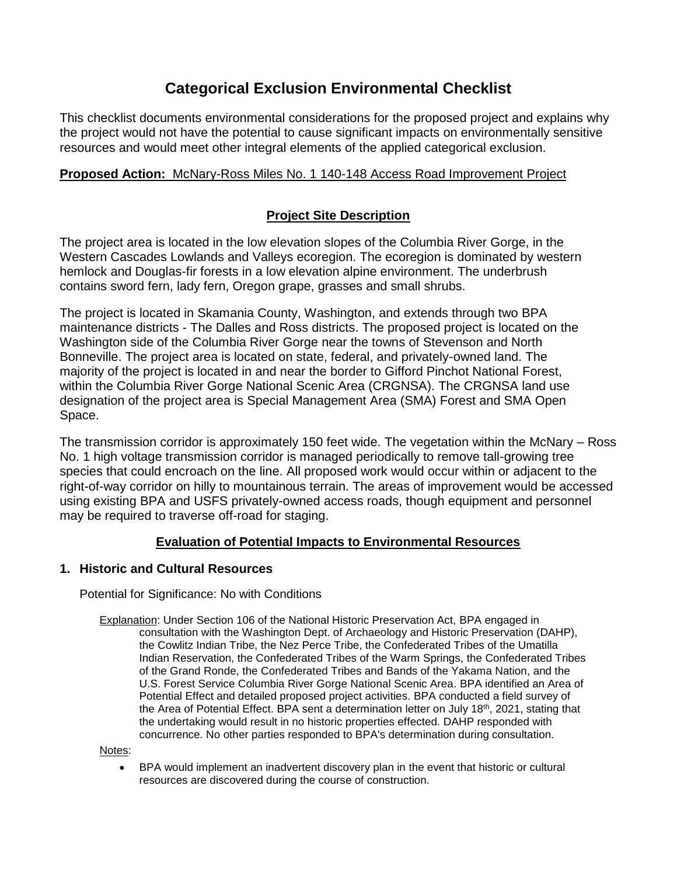# **Categorical Exclusion Environmental Checklist**

This checklist documents environmental considerations for the proposed project and explains why the project would not have the potential to cause significant impacts on environmentally sensitive resources and would meet other integral elements of the applied categorical exclusion.

# **Proposed Action:** McNary-Ross Miles No. 1 140-148 Access Road Improvement Project

# **Project Site Description**

The project area is located in the low elevation slopes of the Columbia River Gorge, in the Western Cascades Lowlands and Valleys ecoregion. The ecoregion is dominated by western hemlock and Douglas-fir forests in a low elevation alpine environment. The underbrush contains sword fern, lady fern, Oregon grape, grasses and small shrubs.

The project is located in Skamania County, Washington, and extends through two BPA maintenance districts - The Dalles and Ross districts. The proposed project is located on the Washington side of the Columbia River Gorge near the towns of Stevenson and North Bonneville. The project area is located on state, federal, and privately-owned land. The majority of the project is located in and near the border to Gifford Pinchot National Forest, within the Columbia River Gorge National Scenic Area (CRGNSA). The CRGNSA land use designation of the project area is Special Management Area (SMA) Forest and SMA Open Space.

The transmission corridor is approximately 150 feet wide. The vegetation within the McNary – Ross No. 1 high voltage transmission corridor is managed periodically to remove tall-growing tree species that could encroach on the line. All proposed work would occur within or adjacent to the right-of-way corridor on hilly to mountainous terrain. The areas of improvement would be accessed using existing BPA and USFS privately-owned access roads, though equipment and personnel may be required to traverse off-road for staging.

# **Evaluation of Potential Impacts to Environmental Resources**

# **1. Historic and Cultural Resources**

Potential for Significance: No with Conditions

Explanation: Under Section 106 of the National Historic Preservation Act, BPA engaged in consultation with the Washington Dept. of Archaeology and Historic Preservation (DAHP), the Cowlitz Indian Tribe, the Nez Perce Tribe, the Confederated Tribes of the Umatilla Indian Reservation, the Confederated Tribes of the Warm Springs, the Confederated Tribes of the Grand Ronde, the Confederated Tribes and Bands of the Yakama Nation, and the U.S. Forest Service Columbia River Gorge National Scenic Area. BPA identified an Area of Potential Effect and detailed proposed project activities. BPA conducted a field survey of the Area of Potential Effect. BPA sent a determination letter on July 18th, 2021, stating that the undertaking would result in no historic properties effected. DAHP responded with concurrence. No other parties responded to BPA's determination during consultation.

Notes:

 BPA would implement an inadvertent discovery plan in the event that historic or cultural resources are discovered during the course of construction.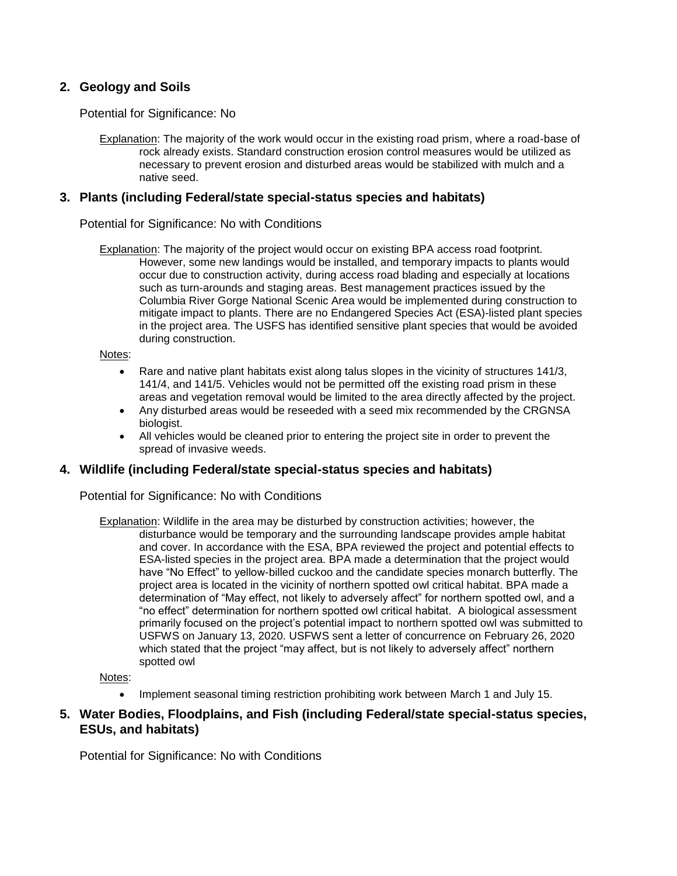# **2. Geology and Soils**

Potential for Significance: No

Explanation: The majority of the work would occur in the existing road prism, where a road-base of rock already exists. Standard construction erosion control measures would be utilized as necessary to prevent erosion and disturbed areas would be stabilized with mulch and a native seed.

#### **3. Plants (including Federal/state special-status species and habitats)**

#### Potential for Significance: No with Conditions

Explanation: The majority of the project would occur on existing BPA access road footprint. However, some new landings would be installed, and temporary impacts to plants would occur due to construction activity, during access road blading and especially at locations such as turn-arounds and staging areas. Best management practices issued by the Columbia River Gorge National Scenic Area would be implemented during construction to mitigate impact to plants. There are no Endangered Species Act (ESA)-listed plant species in the project area. The USFS has identified sensitive plant species that would be avoided during construction.

Notes:

- Rare and native plant habitats exist along talus slopes in the vicinity of structures 141/3, 141/4, and 141/5. Vehicles would not be permitted off the existing road prism in these areas and vegetation removal would be limited to the area directly affected by the project.
- Any disturbed areas would be reseeded with a seed mix recommended by the CRGNSA biologist.
- All vehicles would be cleaned prior to entering the project site in order to prevent the spread of invasive weeds.

#### **4. Wildlife (including Federal/state special-status species and habitats)**

Potential for Significance: No with Conditions

Explanation: Wildlife in the area may be disturbed by construction activities; however, the disturbance would be temporary and the surrounding landscape provides ample habitat and cover. In accordance with the ESA, BPA reviewed the project and potential effects to ESA-listed species in the project area. BPA made a determination that the project would have "No Effect" to yellow-billed cuckoo and the candidate species monarch butterfly. The project area is located in the vicinity of northern spotted owl critical habitat. BPA made a determination of "May effect, not likely to adversely affect" for northern spotted owl, and a "no effect" determination for northern spotted owl critical habitat. A biological assessment primarily focused on the project's potential impact to northern spotted owl was submitted to USFWS on January 13, 2020. USFWS sent a letter of concurrence on February 26, 2020 which stated that the project "may affect, but is not likely to adversely affect" northern spotted owl

Notes:

• Implement seasonal timing restriction prohibiting work between March 1 and July 15.

### **5. Water Bodies, Floodplains, and Fish (including Federal/state special-status species, ESUs, and habitats)**

Potential for Significance: No with Conditions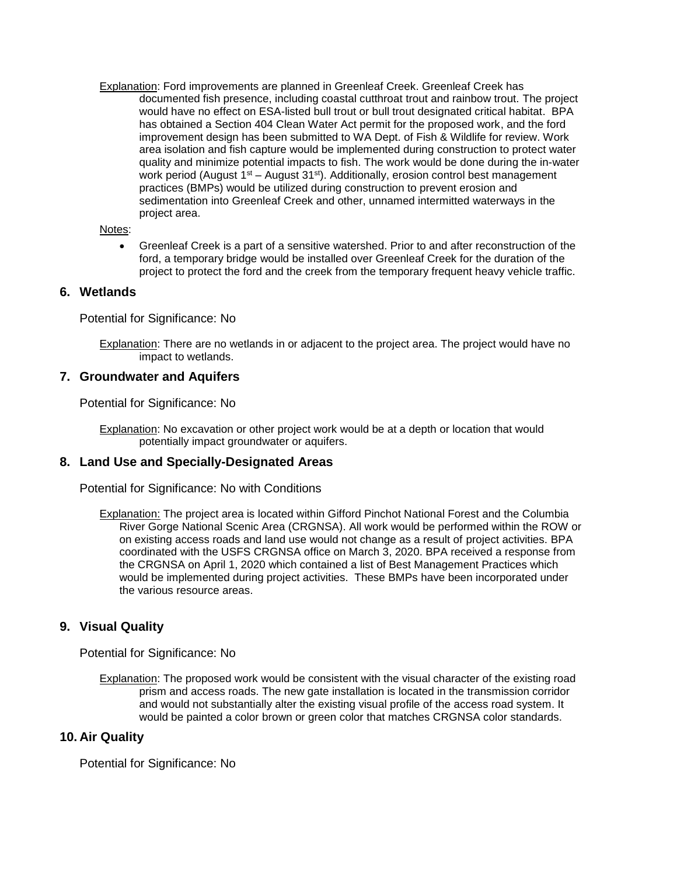Explanation: Ford improvements are planned in Greenleaf Creek. Greenleaf Creek has documented fish presence, including coastal cutthroat trout and rainbow trout. The project would have no effect on ESA-listed bull trout or bull trout designated critical habitat. BPA has obtained a Section 404 Clean Water Act permit for the proposed work, and the ford improvement design has been submitted to WA Dept. of Fish & Wildlife for review. Work area isolation and fish capture would be implemented during construction to protect water quality and minimize potential impacts to fish. The work would be done during the in-water work period (August 1<sup>st</sup> – August 31<sup>st</sup>). Additionally, erosion control best management practices (BMPs) would be utilized during construction to prevent erosion and sedimentation into Greenleaf Creek and other, unnamed intermitted waterways in the project area.

#### Notes:

 Greenleaf Creek is a part of a sensitive watershed. Prior to and after reconstruction of the ford, a temporary bridge would be installed over Greenleaf Creek for the duration of the project to protect the ford and the creek from the temporary frequent heavy vehicle traffic.

# **6. Wetlands**

Potential for Significance: No

Explanation: There are no wetlands in or adjacent to the project area. The project would have no impact to wetlands.

### **7. Groundwater and Aquifers**

Potential for Significance: No

Explanation: No excavation or other project work would be at a depth or location that would potentially impact groundwater or aquifers.

#### **8. Land Use and Specially-Designated Areas**

Potential for Significance: No with Conditions

Explanation: The project area is located within Gifford Pinchot National Forest and the Columbia River Gorge National Scenic Area (CRGNSA). All work would be performed within the ROW or on existing access roads and land use would not change as a result of project activities. BPA coordinated with the USFS CRGNSA office on March 3, 2020. BPA received a response from the CRGNSA on April 1, 2020 which contained a list of Best Management Practices which would be implemented during project activities. These BMPs have been incorporated under the various resource areas.

# **9. Visual Quality**

Potential for Significance: No

Explanation: The proposed work would be consistent with the visual character of the existing road prism and access roads. The new gate installation is located in the transmission corridor and would not substantially alter the existing visual profile of the access road system. It would be painted a color brown or green color that matches CRGNSA color standards.

#### **10. Air Quality**

Potential for Significance: No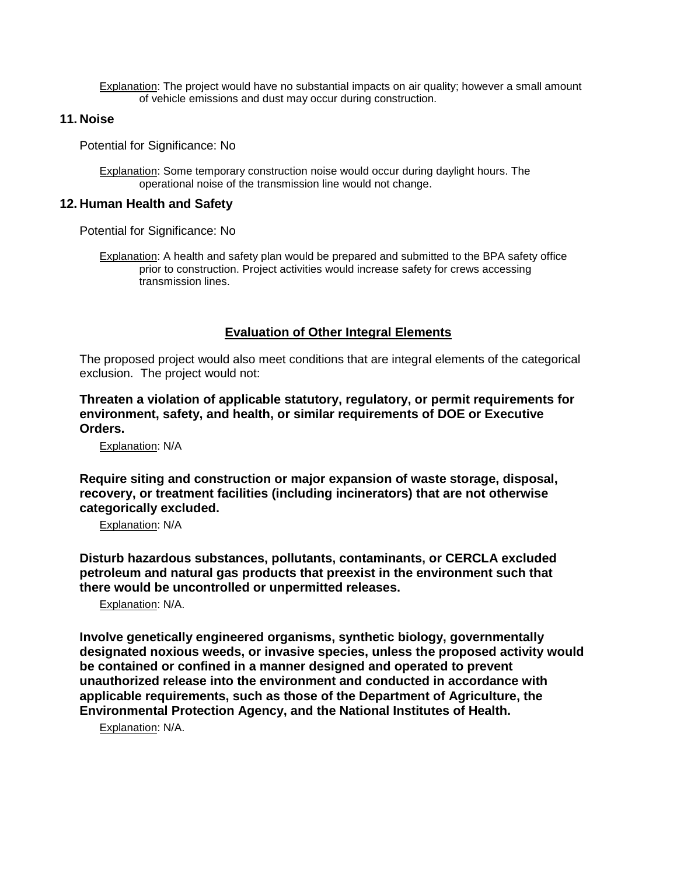Explanation: The project would have no substantial impacts on air quality; however a small amount of vehicle emissions and dust may occur during construction.

### **11. Noise**

Potential for Significance: No

Explanation: Some temporary construction noise would occur during daylight hours. The operational noise of the transmission line would not change.

### **12. Human Health and Safety**

Potential for Significance: No

Explanation: A health and safety plan would be prepared and submitted to the BPA safety office prior to construction. Project activities would increase safety for crews accessing transmission lines.

# **Evaluation of Other Integral Elements**

The proposed project would also meet conditions that are integral elements of the categorical exclusion. The project would not:

**Threaten a violation of applicable statutory, regulatory, or permit requirements for environment, safety, and health, or similar requirements of DOE or Executive Orders.**

Explanation: N/A

**Require siting and construction or major expansion of waste storage, disposal, recovery, or treatment facilities (including incinerators) that are not otherwise categorically excluded.**

Explanation: N/A

**Disturb hazardous substances, pollutants, contaminants, or CERCLA excluded petroleum and natural gas products that preexist in the environment such that there would be uncontrolled or unpermitted releases.**

Explanation: N/A.

**Involve genetically engineered organisms, synthetic biology, governmentally designated noxious weeds, or invasive species, unless the proposed activity would be contained or confined in a manner designed and operated to prevent unauthorized release into the environment and conducted in accordance with applicable requirements, such as those of the Department of Agriculture, the Environmental Protection Agency, and the National Institutes of Health.**

Explanation: N/A.